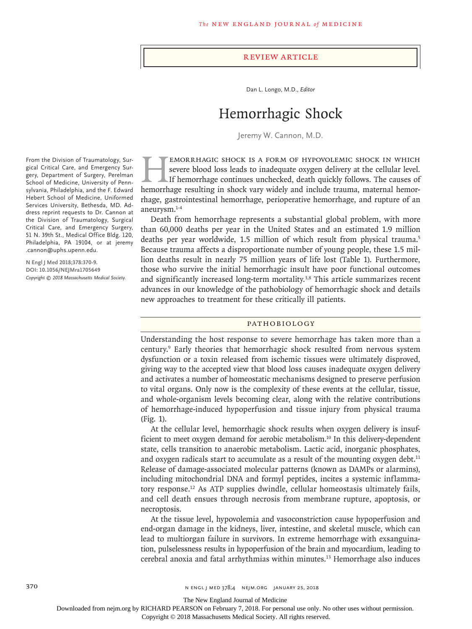### Review Article

Dan L. Longo, M.D., *Editor*

# Hemorrhagic Shock

Jeremy W. Cannon, M.D.

EMORRHAGIC SHOCK IS A FORM OF HYPOVOLEMIC SHOCK IN WHICH severe blood loss leads to inadequate oxygen delivery at the cellular level.<br>If hemorrhage continues unchecked, death quickly follows. The causes of hemorrhage resul severe blood loss leads to inadequate oxygen delivery at the cellular level. If hemorrhage continues unchecked, death quickly follows. The causes of hemorrhage resulting in shock vary widely and include trauma, maternal hemorrhage, gastrointestinal hemorrhage, perioperative hemorrhage, and rupture of an aneurysm.1-4

Death from hemorrhage represents a substantial global problem, with more than 60,000 deaths per year in the United States and an estimated 1.9 million deaths per year worldwide, 1.5 million of which result from physical trauma.5 Because trauma affects a disproportionate number of young people, these 1.5 million deaths result in nearly 75 million years of life lost (Table 1). Furthermore, those who survive the initial hemorrhagic insult have poor functional outcomes and significantly increased long-term mortality.<sup>3,8</sup> This article summarizes recent advances in our knowledge of the pathobiology of hemorrhagic shock and details new approaches to treatment for these critically ill patients.

## Pathobiology

Understanding the host response to severe hemorrhage has taken more than a century.9 Early theories that hemorrhagic shock resulted from nervous system dysfunction or a toxin released from ischemic tissues were ultimately disproved, giving way to the accepted view that blood loss causes inadequate oxygen delivery and activates a number of homeostatic mechanisms designed to preserve perfusion to vital organs. Only now is the complexity of these events at the cellular, tissue, and whole-organism levels becoming clear, along with the relative contributions of hemorrhage-induced hypoperfusion and tissue injury from physical trauma (Fig. 1).

At the cellular level, hemorrhagic shock results when oxygen delivery is insufficient to meet oxygen demand for aerobic metabolism.10 In this delivery-dependent state, cells transition to anaerobic metabolism. Lactic acid, inorganic phosphates, and oxygen radicals start to accumulate as a result of the mounting oxygen debt.<sup>11</sup> Release of damage-associated molecular patterns (known as DAMPs or alarmins), including mitochondrial DNA and formyl peptides, incites a systemic inflammatory response.12 As ATP supplies dwindle, cellular homeostasis ultimately fails, and cell death ensues through necrosis from membrane rupture, apoptosis, or necroptosis.

At the tissue level, hypovolemia and vasoconstriction cause hypoperfusion and end-organ damage in the kidneys, liver, intestine, and skeletal muscle, which can lead to multiorgan failure in survivors. In extreme hemorrhage with exsanguination, pulselessness results in hypoperfusion of the brain and myocardium, leading to cerebral anoxia and fatal arrhythmias within minutes.13 Hemorrhage also induces

From the Division of Traumatology, Surgical Critical Care, and Emergency Surgery, Department of Surgery, Perelman School of Medicine, University of Pennsylvania, Philadelphia, and the F. Edward Hebert School of Medicine, Uniformed Services University, Bethesda, MD. Address reprint requests to Dr. Cannon at the Division of Traumatology, Surgical Critical Care, and Emergency Surgery, 51 N. 39th St., Medical Office Bldg. 120, Philadelphia, PA 19104, or at jeremy .cannon@uphs.upenn.edu.

**N Engl J Med 2018;378:370-9. DOI: 10.1056/NEJMra1705649** *Copyright © 2018 Massachusetts Medical Society.*

The New England Journal of Medicine

Downloaded from nejm.org by RICHARD PEARSON on February 7, 2018. For personal use only. No other uses without permission.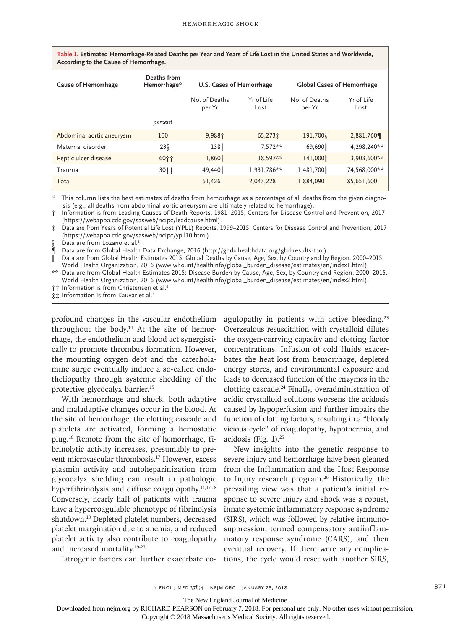| Table 1. Estimated Hemorrhage-Related Deaths per Year and Years of Life Lost in the United States and Worldwide, |  |
|------------------------------------------------------------------------------------------------------------------|--|
| According to the Cause of Hemorrhage.                                                                            |  |

| <b>Cause of Hemorrhage</b> | Deaths from<br>Hemorrhage* | U.S. Cases of Hemorrhage |                    | <b>Global Cases of Hemorrhage</b> |                    |
|----------------------------|----------------------------|--------------------------|--------------------|-----------------------------------|--------------------|
|                            |                            | No. of Deaths<br>per Yr  | Yr of Life<br>Lost | No. of Deaths<br>per Yr           | Yr of Life<br>Lost |
|                            | percent                    |                          |                    |                                   |                    |
| Abdominal aortic aneurysm  | 100                        | 9,988个                   | 65,273立            | 191,700                           | 2,881,760          |
| Maternal disorder          | 23 ∫                       | 138                      | $7.572**$          | 69,690                            | 4,298,240**        |
| Peptic ulcer disease       | 60个个                       | 1,860                    | 38.597**           | 141,000                           | 3,903,600**        |
| Trauma                     | 30加加                       | 49,440                   | 1,931,786**        | 1,481,700                         | 74,568,000**       |
| Total                      |                            | 61,426                   | 2,043,228          | 1,884,090                         | 85,651,600         |

\* This column lists the best estimates of deaths from hemorrhage as a percentage of all deaths from the given diagnosis (e.g., all deaths from abdominal aortic aneurysm are ultimately related to hemorrhage).

† Information is from Leading Causes of Death Reports, 1981–2015, Centers for Disease Control and Prevention, 2017 (https://webappa.cdc.gov/sasweb/ncipc/leadcause.html).

‡ Data are from Years of Potential Life Lost (YPLL) Reports, 1999–2015, Centers for Disease Control and Prevention, 2017 (https://webappa.cdc.gov/sasweb/ncipc/ypll10.html).

Data are from Lozano et al.<sup>5</sup>

¶ Data are from Global Health Data Exchange, 2016 (http://ghdx.healthdata.org/gbd-results-tool).

Data are from Global Health Estimates 2015: Global Deaths by Cause, Age, Sex, by Country and by Region, 2000–2015. World Health Organization, 2016 (www.who.int/healthinfo/global\_burden\_disease/estimates/en/index1.html).

\*\* Data are from Global Health Estimates 2015: Disease Burden by Cause, Age, Sex, by Country and Region, 2000–2015. World Health Organization, 2016 (www.who.int/healthinfo/global\_burden\_disease/estimates/en/index2.html).

†† Information is from Christensen et al.<sup>6</sup>

**‡‡** Information is from Kauvar et al.<sup>7</sup>

profound changes in the vascular endothelium throughout the body.14 At the site of hemorrhage, the endothelium and blood act synergistically to promote thrombus formation. However, the mounting oxygen debt and the catecholamine surge eventually induce a so-called endotheliopathy through systemic shedding of the protective glycocalyx barrier.15

With hemorrhage and shock, both adaptive and maladaptive changes occur in the blood. At the site of hemorrhage, the clotting cascade and platelets are activated, forming a hemostatic plug.16 Remote from the site of hemorrhage, fibrinolytic activity increases, presumably to prevent microvascular thrombosis.<sup>17</sup> However, excess plasmin activity and autoheparinization from glycocalyx shedding can result in pathologic hyperfibrinolysis and diffuse coagulopathy.<sup>14,17,18</sup> Conversely, nearly half of patients with trauma have a hypercoagulable phenotype of fibrinolysis shutdown.18 Depleted platelet numbers, decreased platelet margination due to anemia, and reduced platelet activity also contribute to coagulopathy and increased mortality.19-22

agulopathy in patients with active bleeding.<sup>23</sup> Overzealous resuscitation with crystalloid dilutes the oxygen-carrying capacity and clotting factor concentrations. Infusion of cold fluids exacerbates the heat lost from hemorrhage, depleted energy stores, and environmental exposure and leads to decreased function of the enzymes in the clotting cascade.24 Finally, overadministration of acidic crystalloid solutions worsens the acidosis caused by hypoperfusion and further impairs the function of clotting factors, resulting in a "bloody vicious cycle" of coagulopathy, hypothermia, and acidosis (Fig. 1).25

New insights into the genetic response to severe injury and hemorrhage have been gleaned from the Inflammation and the Host Response to Injury research program.<sup>26</sup> Historically, the prevailing view was that a patient's initial response to severe injury and shock was a robust, innate systemic inflammatory response syndrome (SIRS), which was followed by relative immunosuppression, termed compensatory antiinflammatory response syndrome (CARS), and then eventual recovery. If there were any complications, the cycle would reset with another SIRS,

Iatrogenic factors can further exacerbate co-

The New England Journal of Medicine

Downloaded from nejm.org by RICHARD PEARSON on February 7, 2018. For personal use only. No other uses without permission.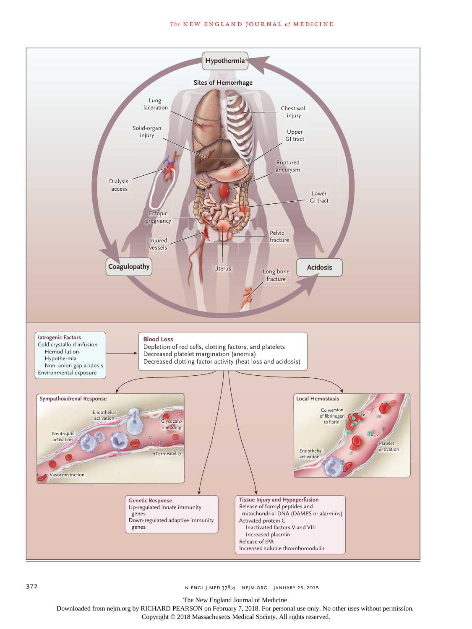### **The NEW ENGLAND JOURNAL of MEDICINE**



372 n engl j med 378;4 nejm.org January 25, 2018

The New England Journal of Medicine

Downloaded from nejm.org by RICHARD PEARSON on February 7, 2018. For personal use only. No other uses without permission.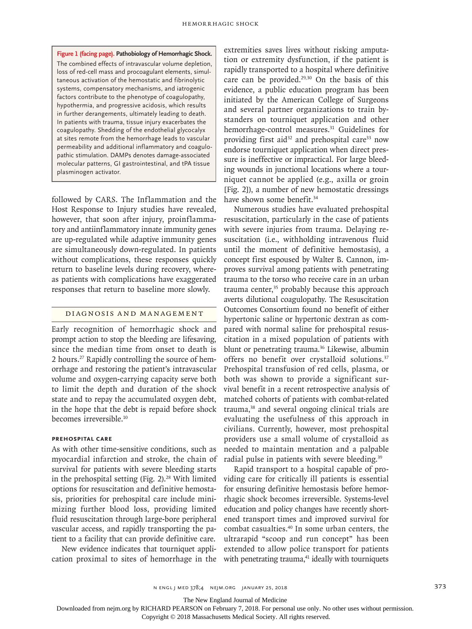**Figure 1 (facing page). Pathobiology of Hemorrhagic Shock.** The combined effects of intravascular volume depletion, loss of red-cell mass and procoagulant elements, simultaneous activation of the hemostatic and fibrinolytic systems, compensatory mechanisms, and iatrogenic factors contribute to the phenotype of coagulopathy, hypothermia, and progressive acidosis, which results in further derangements, ultimately leading to death. In patients with trauma, tissue injury exacerbates the coagulopathy. Shedding of the endothelial glycocalyx at sites remote from the hemorrhage leads to vascular permeability and additional inflammatory and coagulopathic stimulation. DAMPs denotes damage-associated molecular patterns, GI gastrointestinal, and tPA tissue plasminogen activator.

followed by CARS. The Inflammation and the Host Response to Injury studies have revealed, however, that soon after injury, proinflammatory and antiinflammatory innate immunity genes are up-regulated while adaptive immunity genes are simultaneously down-regulated. In patients without complications, these responses quickly return to baseline levels during recovery, whereas patients with complications have exaggerated responses that return to baseline more slowly.

# Diagnosis and Management

Early recognition of hemorrhagic shock and prompt action to stop the bleeding are lifesaving, since the median time from onset to death is 2 hours.27 Rapidly controlling the source of hemorrhage and restoring the patient's intravascular volume and oxygen-carrying capacity serve both to limit the depth and duration of the shock state and to repay the accumulated oxygen debt, in the hope that the debt is repaid before shock becomes irreversible.<sup>10</sup>

## **Prehospital Care**

As with other time-sensitive conditions, such as myocardial infarction and stroke, the chain of survival for patients with severe bleeding starts in the prehospital setting (Fig.  $2$ ).<sup>28</sup> With limited options for resuscitation and definitive hemostasis, priorities for prehospital care include minimizing further blood loss, providing limited fluid resuscitation through large-bore peripheral vascular access, and rapidly transporting the patient to a facility that can provide definitive care.

New evidence indicates that tourniquet application proximal to sites of hemorrhage in the

extremities saves lives without risking amputation or extremity dysfunction, if the patient is rapidly transported to a hospital where definitive care can be provided.<sup>29,30</sup> On the basis of this evidence, a public education program has been initiated by the American College of Surgeons and several partner organizations to train bystanders on tourniquet application and other hemorrhage-control measures.<sup>31</sup> Guidelines for providing first aid<sup>32</sup> and prehospital care<sup>33</sup> now endorse tourniquet application when direct pressure is ineffective or impractical. For large bleeding wounds in junctional locations where a tourniquet cannot be applied (e.g., axilla or groin [Fig. 2]), a number of new hemostatic dressings have shown some benefit.<sup>34</sup>

Numerous studies have evaluated prehospital resuscitation, particularly in the case of patients with severe injuries from trauma. Delaying resuscitation (i.e., withholding intravenous fluid until the moment of definitive hemostasis), a concept first espoused by Walter B. Cannon, improves survival among patients with penetrating trauma to the torso who receive care in an urban trauma center,<sup>35</sup> probably because this approach averts dilutional coagulopathy. The Resuscitation Outcomes Consortium found no benefit of either hypertonic saline or hypertonic dextran as compared with normal saline for prehospital resuscitation in a mixed population of patients with blunt or penetrating trauma.<sup>36</sup> Likewise, albumin offers no benefit over crystalloid solutions.<sup>37</sup> Prehospital transfusion of red cells, plasma, or both was shown to provide a significant survival benefit in a recent retrospective analysis of matched cohorts of patients with combat-related trauma,38 and several ongoing clinical trials are evaluating the usefulness of this approach in civilians. Currently, however, most prehospital providers use a small volume of crystalloid as needed to maintain mentation and a palpable radial pulse in patients with severe bleeding.<sup>39</sup>

Rapid transport to a hospital capable of providing care for critically ill patients is essential for ensuring definitive hemostasis before hemorrhagic shock becomes irreversible. Systems-level education and policy changes have recently shortened transport times and improved survival for combat casualties.40 In some urban centers, the ultrarapid "scoop and run concept" has been extended to allow police transport for patients with penetrating trauma, $41$  ideally with tourniquets

n engl j med 378;4 nejm.org January 25, 2018 373

The New England Journal of Medicine

Downloaded from nejm.org by RICHARD PEARSON on February 7, 2018. For personal use only. No other uses without permission.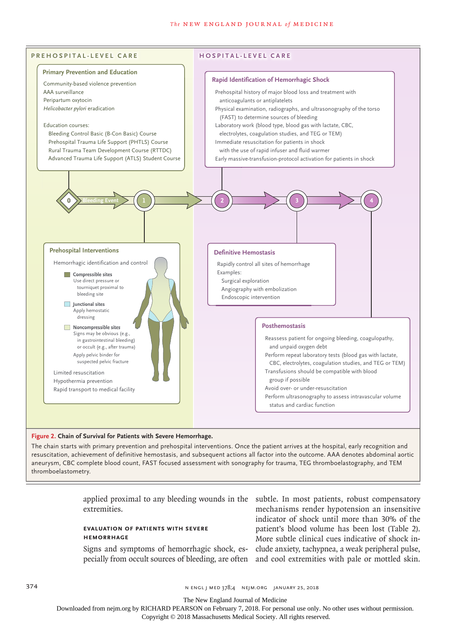#### **The NEW ENGLAND JOURNAL of MEDICINE**



## **Figure 2. Chain of Survival for Patients with Severe Hemorrhage.**

The chain starts with primary prevention and prehospital interventions. Once the patient arrives at the hospital, early recognition and resuscitation, achievement of definitive hemostasis, and subsequent actions all factor into the outcome. AAA denotes abdominal aortic aneurysm, CBC complete blood count, FAST focused assessment with sonography for trauma, TEG thromboelastography, and TEM thromboelastometry.

extremities.

# **Evaluation of Patients with Severe Hemorrhage**

applied proximal to any bleeding wounds in the subtle. In most patients, robust compensatory Signs and symptoms of hemorrhagic shock, es-clude anxiety, tachypnea, a weak peripheral pulse, pecially from occult sources of bleeding, are often and cool extremities with pale or mottled skin. mechanisms render hypotension an insensitive indicator of shock until more than 30% of the patient's blood volume has been lost (Table 2). More subtle clinical cues indicative of shock in-

374 **N ENGL J MED 378;4 NEIM.ORG JANUARY 25, 2018** 

The New England Journal of Medicine

Downloaded from nejm.org by RICHARD PEARSON on February 7, 2018. For personal use only. No other uses without permission.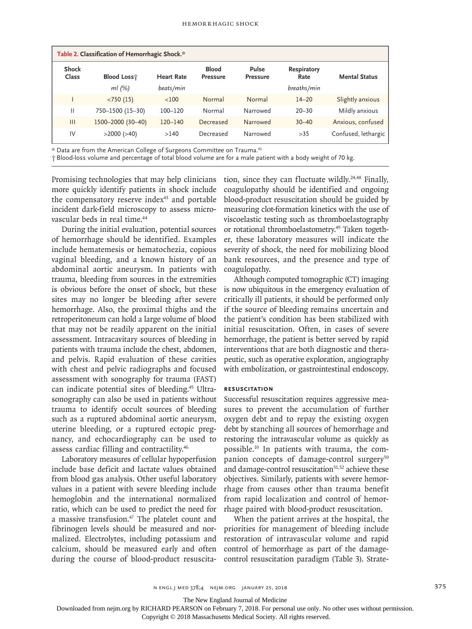|                | Table 2. Classification of Hemorrhagic Shock.* |                   |                                 |                          |                     |                      |
|----------------|------------------------------------------------|-------------------|---------------------------------|--------------------------|---------------------|----------------------|
| Shock<br>Class | <b>Blood Loss</b>                              | <b>Heart Rate</b> | <b>Blood</b><br><b>Pressure</b> | Pulse<br><b>Pressure</b> | Respiratory<br>Rate | <b>Mental Status</b> |
|                | $ml$ (%)                                       | beats/min         |                                 |                          | breaths/min         |                      |
|                | < 750(15)                                      | $<$ 100           | Normal                          | Normal                   | $14 - 20$           | Slightly anxious     |
| Ш              | 750-1500 (15-30)                               | $100 - 120$       | Normal                          | Narrowed                 | $20 - 30$           | Mildly anxious       |
| $\mathbf{III}$ | 1500-2000 (30-40)                              | $120 - 140$       | Decreased                       | Narrowed                 | $30 - 40$           | Anxious, confused    |
| IV             | $>2000$ ( $>40$ )                              | >140              | Decreased                       | Narrowed                 | >35                 | Confused, lethargic  |

\* Data are from the American College of Surgeons Committee on Trauma.42

† Blood-loss volume and percentage of total blood volume are for a male patient with a body weight of 70 kg.

Promising technologies that may help clinicians more quickly identify patients in shock include the compensatory reserve index<sup>43</sup> and portable incident dark-field microscopy to assess microvascular beds in real time.<sup>44</sup>

During the initial evaluation, potential sources of hemorrhage should be identified. Examples include hematemesis or hematochezia, copious vaginal bleeding, and a known history of an abdominal aortic aneurysm. In patients with trauma, bleeding from sources in the extremities is obvious before the onset of shock, but these sites may no longer be bleeding after severe hemorrhage. Also, the proximal thighs and the retroperitoneum can hold a large volume of blood that may not be readily apparent on the initial assessment. Intracavitary sources of bleeding in patients with trauma include the chest, abdomen, and pelvis. Rapid evaluation of these cavities with chest and pelvic radiographs and focused assessment with sonography for trauma (FAST) can indicate potential sites of bleeding.<sup>45</sup> Ultrasonography can also be used in patients without trauma to identify occult sources of bleeding such as a ruptured abdominal aortic aneurysm, uterine bleeding, or a ruptured ectopic pregnancy, and echocardiography can be used to assess cardiac filling and contractility.46

Laboratory measures of cellular hypoperfusion include base deficit and lactate values obtained from blood gas analysis. Other useful laboratory values in a patient with severe bleeding include hemoglobin and the international normalized ratio, which can be used to predict the need for a massive transfusion.<sup>47</sup> The platelet count and fibrinogen levels should be measured and normalized. Electrolytes, including potassium and calcium, should be measured early and often during the course of blood-product resuscitation, since they can fluctuate wildly.<sup>24,48</sup> Finally, coagulopathy should be identified and ongoing blood-product resuscitation should be guided by measuring clot-formation kinetics with the use of viscoelastic testing such as thromboelastography or rotational thromboelastometry.<sup>49</sup> Taken together, these laboratory measures will indicate the severity of shock, the need for mobilizing blood bank resources, and the presence and type of coagulopathy.

Although computed tomographic (CT) imaging is now ubiquitous in the emergency evaluation of critically ill patients, it should be performed only if the source of bleeding remains uncertain and the patient's condition has been stabilized with initial resuscitation. Often, in cases of severe hemorrhage, the patient is better served by rapid interventions that are both diagnostic and therapeutic, such as operative exploration, angiography with embolization, or gastrointestinal endoscopy.

# **Resuscitation**

Successful resuscitation requires aggressive measures to prevent the accumulation of further oxygen debt and to repay the existing oxygen debt by stanching all sources of hemorrhage and restoring the intravascular volume as quickly as possible.10 In patients with trauma, the companion concepts of damage-control surgery<sup>50</sup> and damage-control resuscitation<sup>51,52</sup> achieve these objectives. Similarly, patients with severe hemorrhage from causes other than trauma benefit from rapid localization and control of hemorrhage paired with blood-product resuscitation.

When the patient arrives at the hospital, the priorities for management of bleeding include restoration of intravascular volume and rapid control of hemorrhage as part of the damagecontrol resuscitation paradigm (Table 3). Strate-

The New England Journal of Medicine

Downloaded from nejm.org by RICHARD PEARSON on February 7, 2018. For personal use only. No other uses without permission.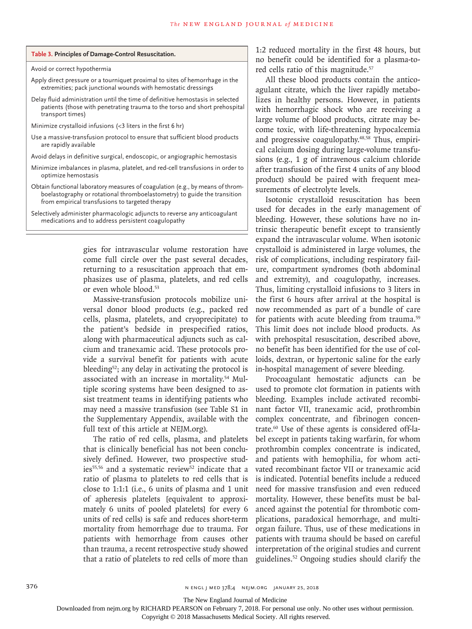|  | Table 3. Principles of Damage-Control Resuscitation. |
|--|------------------------------------------------------|
|--|------------------------------------------------------|

Avoid or correct hypothermia

- Apply direct pressure or a tourniquet proximal to sites of hemorrhage in the extremities; pack junctional wounds with hemostatic dressings
- Delay fluid administration until the time of definitive hemostasis in selected patients (those with penetrating trauma to the torso and short prehospital transport times)
- Minimize crystalloid infusions (<3 liters in the first 6 hr)
- Use a massive-transfusion protocol to ensure that sufficient blood products are rapidly available
- Avoid delays in definitive surgical, endoscopic, or angiographic hemostasis
- Minimize imbalances in plasma, platelet, and red-cell transfusions in order to optimize hemostasis
- Obtain functional laboratory measures of coagulation (e.g., by means of thromboelastography or rotational thromboelastometry) to guide the transition from empirical transfusions to targeted therapy

Selectively administer pharmacologic adjuncts to reverse any anticoagulant medications and to address persistent coagulopathy

> gies for intravascular volume restoration have come full circle over the past several decades, returning to a resuscitation approach that emphasizes use of plasma, platelets, and red cells or even whole blood.53

> Massive-transfusion protocols mobilize universal donor blood products (e.g., packed red cells, plasma, platelets, and cryoprecipitate) to the patient's bedside in prespecified ratios, along with pharmaceutical adjuncts such as calcium and tranexamic acid. These protocols provide a survival benefit for patients with acute bleeding<sup>52</sup>; any delay in activating the protocol is associated with an increase in mortality.54 Multiple scoring systems have been designed to assist treatment teams in identifying patients who may need a massive transfusion (see Table S1 in the Supplementary Appendix, available with the full text of this article at NEJM.org).

> The ratio of red cells, plasma, and platelets that is clinically beneficial has not been conclusively defined. However, two prospective studies<sup>55,56</sup> and a systematic review<sup>52</sup> indicate that a ratio of plasma to platelets to red cells that is close to 1:1:1 (i.e., 6 units of plasma and 1 unit of apheresis platelets [equivalent to approximately 6 units of pooled platelets] for every 6 units of red cells) is safe and reduces short-term mortality from hemorrhage due to trauma. For patients with hemorrhage from causes other than trauma, a recent retrospective study showed that a ratio of platelets to red cells of more than

1:2 reduced mortality in the first 48 hours, but no benefit could be identified for a plasma-tored cells ratio of this magnitude.<sup>57</sup>

All these blood products contain the anticoagulant citrate, which the liver rapidly metabolizes in healthy persons. However, in patients with hemorrhagic shock who are receiving a large volume of blood products, citrate may become toxic, with life-threatening hypocalcemia and progressive coagulopathy.<sup>48,58</sup> Thus, empirical calcium dosing during large-volume transfusions (e.g., 1 g of intravenous calcium chloride after transfusion of the first 4 units of any blood product) should be paired with frequent measurements of electrolyte levels.

Isotonic crystalloid resuscitation has been used for decades in the early management of bleeding. However, these solutions have no intrinsic therapeutic benefit except to transiently expand the intravascular volume. When isotonic crystalloid is administered in large volumes, the risk of complications, including respiratory failure, compartment syndromes (both abdominal and extremity), and coagulopathy, increases. Thus, limiting crystalloid infusions to 3 liters in the first 6 hours after arrival at the hospital is now recommended as part of a bundle of care for patients with acute bleeding from trauma.<sup>59</sup> This limit does not include blood products. As with prehospital resuscitation, described above, no benefit has been identified for the use of colloids, dextran, or hypertonic saline for the early in-hospital management of severe bleeding.

Procoagulant hemostatic adjuncts can be used to promote clot formation in patients with bleeding. Examples include activated recombinant factor VII, tranexamic acid, prothrombin complex concentrate, and fibrinogen concentrate.60 Use of these agents is considered off-label except in patients taking warfarin, for whom prothrombin complex concentrate is indicated, and patients with hemophilia, for whom activated recombinant factor VII or tranexamic acid is indicated. Potential benefits include a reduced need for massive transfusion and even reduced mortality. However, these benefits must be balanced against the potential for thrombotic complications, paradoxical hemorrhage, and multiorgan failure. Thus, use of these medications in patients with trauma should be based on careful interpretation of the original studies and current guidelines.52 Ongoing studies should clarify the

The New England Journal of Medicine

Downloaded from nejm.org by RICHARD PEARSON on February 7, 2018. For personal use only. No other uses without permission.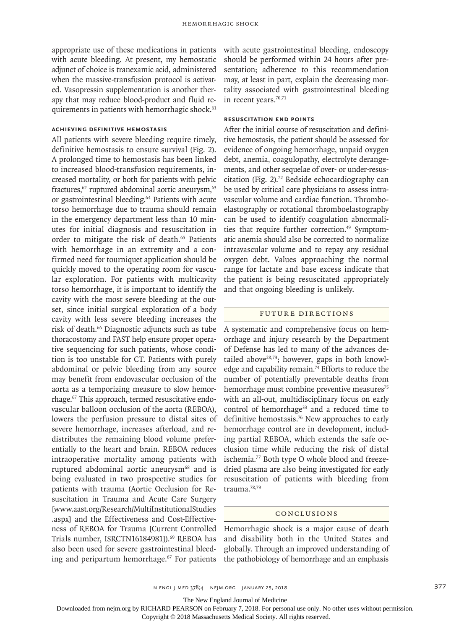appropriate use of these medications in patients with acute bleeding. At present, my hemostatic adjunct of choice is tranexamic acid, administered when the massive-transfusion protocol is activated. Vasopressin supplementation is another therapy that may reduce blood-product and fluid requirements in patients with hemorrhagic shock.<sup>61</sup>

# **Achieving Definitive Hemostasis**

All patients with severe bleeding require timely, definitive hemostasis to ensure survival (Fig. 2). A prolonged time to hemostasis has been linked to increased blood-transfusion requirements, increased mortality, or both for patients with pelvic fractures,<sup>62</sup> ruptured abdominal aortic aneurysm,<sup>63</sup> or gastrointestinal bleeding.<sup>64</sup> Patients with acute torso hemorrhage due to trauma should remain in the emergency department less than 10 minutes for initial diagnosis and resuscitation in order to mitigate the risk of death.<sup>65</sup> Patients with hemorrhage in an extremity and a confirmed need for tourniquet application should be quickly moved to the operating room for vascular exploration. For patients with multicavity torso hemorrhage, it is important to identify the cavity with the most severe bleeding at the outset, since initial surgical exploration of a body cavity with less severe bleeding increases the risk of death.66 Diagnostic adjuncts such as tube thoracostomy and FAST help ensure proper operative sequencing for such patients, whose condition is too unstable for CT. Patients with purely abdominal or pelvic bleeding from any source may benefit from endovascular occlusion of the aorta as a temporizing measure to slow hemorrhage.67 This approach, termed resuscitative endovascular balloon occlusion of the aorta (REBOA), lowers the perfusion pressure to distal sites of severe hemorrhage, increases afterload, and redistributes the remaining blood volume preferentially to the heart and brain. REBOA reduces intraoperative mortality among patients with ruptured abdominal aortic aneurysm<sup>68</sup> and is being evaluated in two prospective studies for patients with trauma (Aortic Occlusion for Resuscitation in Trauma and Acute Care Surgery [www.aast.org/Research/MultiInstitutionalStudies .aspx] and the Effectiveness and Cost-Effectiveness of REBOA for Trauma [Current Controlled Trials number, ISRCTN16184981]).<sup>69</sup> REBOA has also been used for severe gastrointestinal bleeding and peripartum hemorrhage.<sup>67</sup> For patients with acute gastrointestinal bleeding, endoscopy should be performed within 24 hours after presentation; adherence to this recommendation may, at least in part, explain the decreasing mortality associated with gastrointestinal bleeding in recent years.<sup>70,71</sup>

## **Resuscitation End Points**

After the initial course of resuscitation and definitive hemostasis, the patient should be assessed for evidence of ongoing hemorrhage, unpaid oxygen debt, anemia, coagulopathy, electrolyte derangements, and other sequelae of over- or under-resuscitation (Fig. 2).72 Bedside echocardiography can be used by critical care physicians to assess intravascular volume and cardiac function. Thromboelastography or rotational thromboelastography can be used to identify coagulation abnormalities that require further correction.<sup>49</sup> Symptomatic anemia should also be corrected to normalize intravascular volume and to repay any residual oxygen debt. Values approaching the normal range for lactate and base excess indicate that the patient is being resuscitated appropriately and that ongoing bleeding is unlikely.

#### Future Directions

A systematic and comprehensive focus on hemorrhage and injury research by the Department of Defense has led to many of the advances detailed above $28,73$ ; however, gaps in both knowledge and capability remain.<sup>74</sup> Efforts to reduce the number of potentially preventable deaths from hemorrhage must combine preventive measures<sup>75</sup> with an all-out, multidisciplinary focus on early control of hemorrhage<sup>33</sup> and a reduced time to definitive hemostasis.<sup>76</sup> New approaches to early hemorrhage control are in development, including partial REBOA, which extends the safe occlusion time while reducing the risk of distal ischemia.77 Both type O whole blood and freezedried plasma are also being investigated for early resuscitation of patients with bleeding from trauma.78,79

## Conclusions

Hemorrhagic shock is a major cause of death and disability both in the United States and globally. Through an improved understanding of the pathobiology of hemorrhage and an emphasis

The New England Journal of Medicine

Downloaded from nejm.org by RICHARD PEARSON on February 7, 2018. For personal use only. No other uses without permission.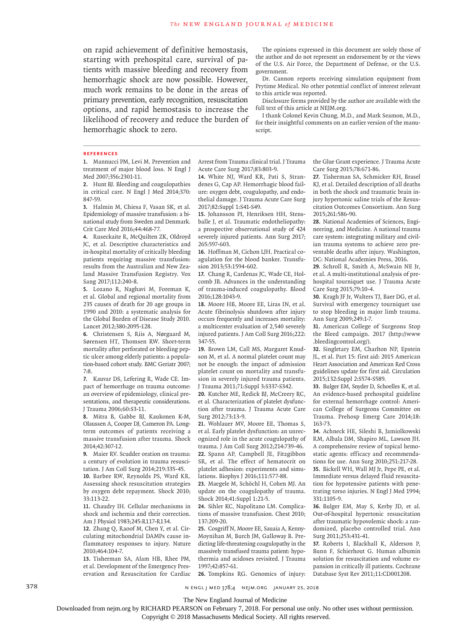on rapid achievement of definitive hemostasis, starting with prehospital care, survival of patients with massive bleeding and recovery from hemorrhagic shock are now possible. However, much work remains to be done in the areas of primary prevention, early recognition, resuscitation options, and rapid hemostasis to increase the likelihood of recovery and reduce the burden of hemorrhagic shock to zero.

The opinions expressed in this document are solely those of the author and do not represent an endorsement by or the views of the U.S. Air Force, the Department of Defense, or the U.S. government.

Dr. Cannon reports receiving simulation equipment from Prytime Medical. No other potential conflict of interest relevant to this article was reported.

Disclosure forms provided by the author are available with the full text of this article at NEJM.org.

I thank Colonel Kevin Chung, M.D., and Mark Seamon, M.D., for their insightful comments on an earlier version of the manuscript.

#### **References**

**1.** Mannucci PM, Levi M. Prevention and treatment of major blood loss. N Engl J Med 2007;356:2301-11.

**2.** Hunt BJ. Bleeding and coagulopathies in critical care. N Engl J Med 2014;370: 847-59.

**3.** Halmin M, Chiesa F, Vasan SK, et al. Epidemiology of massive transfusion: a binational study from Sweden and Denmark. Crit Care Med 2016;44:468-77.

**4.** Ruseckaite R, McQuilten ZK, Oldroyd JC, et al. Descriptive characteristics and in-hospital mortality of critically bleeding patients requiring massive transfusion: results from the Australian and New Zealand Massive Transfusion Registry. Vox Sang 2017;112:240-8.

**5.** Lozano R, Naghavi M, Foreman K, et al. Global and regional mortality from 235 causes of death for 20 age groups in 1990 and 2010: a systematic analysis for the Global Burden of Disease Study 2010. Lancet 2012;380:2095-128.

**6.** Christensen S, Riis A, Nørgaard M, Sørensen HT, Thomsen RW. Short-term mortality after perforated or bleeding peptic ulcer among elderly patients: a population-based cohort study. BMC Geriatr 2007; 7:8.

**7.** Kauvar DS, Lefering R, Wade CE. Impact of hemorrhage on trauma outcome: an overview of epidemiology, clinical presentations, and therapeutic considerations. J Trauma 2006;60:S3-11.

**8.** Mitra B, Gabbe BJ, Kaukonen K-M, Olaussen A, Cooper DJ, Cameron PA. Longterm outcomes of patients receiving a massive transfusion after trauma. Shock 2014;42:307-12.

**9.** Maier RV. Scudder oration on trauma: a century of evolution in trauma resuscitation. J Am Coll Surg 2014;219:335-45.

**10.** Barbee RW, Reynolds PS, Ward KR. Assessing shock resuscitation strategies by oxygen debt repayment. Shock 2010; 33:113-22.

**11.** Chaudry IH. Cellular mechanisms in shock and ischemia and their correction. Am J Physiol 1983;245:R117-R134.

**12.** Zhang Q, Raoof M, Chen Y, et al. Circulating mitochondrial DAMPs cause inflammatory responses to injury. Nature 2010;464:104-7.

**13.** Tisherman SA, Alam HB, Rhee PM, et al. Development of the Emergency Preservation and Resuscitation for Cardiac Arrest from Trauma clinical trial. J Trauma Acute Care Surg 2017;83:803-9.

**14.** White NJ, Ward KR, Pati S, Strandenes G, Cap AP. Hemorrhagic blood failure: oxygen debt, coagulopathy, and endothelial damage. J Trauma Acute Care Surg 2017;82:Suppl 1:S41-S49.

**15.** Johansson PI, Henriksen HH, Stensballe J, et al. Traumatic endotheliopathy: a prospective observational study of 424 severely injured patients. Ann Surg 2017; 265:597-603.

**16.** Hoffman M, Cichon LJH. Practical coagulation for the blood banker. Transfusion 2013;53:1594-602.

**17.** Chang R, Cardenas JC, Wade CE, Holcomb JB. Advances in the understanding of trauma-induced coagulopathy. Blood 2016;128:1043-9.

**18.** Moore HB, Moore EE, Liras IN, et al. Acute fibrinolysis shutdown after injury occurs frequently and increases mortality: a multicenter evaluation of 2,540 severely injured patients. J Am Coll Surg 2016;222: 347-55.

**19.** Brown LM, Call MS, Margaret Knudson M, et al. A normal platelet count may not be enough: the impact of admission platelet count on mortality and transfusion in severely injured trauma patients. J Trauma 2011;71:Suppl 3:S337-S342.

**20.** Kutcher ME, Redick BJ, McCreery RC, et al. Characterization of platelet dysfunction after trauma. J Trauma Acute Care Surg 2012;73:13-9.

**21.** Wohlauer MV, Moore EE, Thomas S, et al. Early platelet dysfunction: an unrecognized role in the acute coagulopathy of trauma. J Am Coll Surg 2012;214:739-46. **22.** Spann AP, Campbell JE, Fitzgibbon SR, et al. The effect of hematocrit on platelet adhesion: experiments and simulations. Biophys J 2016;111:577-88.

**23.** Maegele M, Schöchl H, Cohen MJ. An update on the coagulopathy of trauma. Shock 2014;41:Suppl 1:21-5.

**24.** Sihler KC, Napolitano LM. Complications of massive transfusion. Chest 2010; 137:209-20.

**25.** Cosgriff N, Moore EE, Sauaia A, Kenny-Moynihan M, Burch JM, Galloway B. Predicting life-threatening coagulopathy in the massively transfused trauma patient: hypothermia and acidoses revisited. J Trauma 1997;42:857-61.

**26.** Tompkins RG. Genomics of injury:

the Glue Grant experience. J Trauma Acute Care Surg 2015;78:671-86.

**27.** Tisherman SA, Schmicker RH, Brasel KJ, et al. Detailed description of all deaths in both the shock and traumatic brain injury hypertonic saline trials of the Resuscitation Outcomes Consortium. Ann Surg 2015;261:586-90.

**28.** National Academies of Sciences, Engineering, and Medicine. A national trauma care system: integrating military and civilian trauma systems to achieve zero preventable deaths after injury. Washington, DC: National Academies Press, 2016.

**29.** Schroll R, Smith A, McSwain NE Jr, et al. A multi-institutional analysis of prehospital tourniquet use. J Trauma Acute Care Surg 2015;79:10-4.

**30.** Kragh JF Jr, Walters TJ, Baer DG, et al. Survival with emergency tourniquet use to stop bleeding in major limb trauma. Ann Surg 2009;249:1-7.

**31.** American College of Surgeons Stop the Bleed campaign. 2017 (http://www .bleedingcontrol.org/).

**32.** Singletary EM, Charlton NP, Epstein JL, et al. Part 15: first aid: 2015 American Heart Association and American Red Cross guidelines update for first aid. Circulation 2015;132:Suppl 2:S574-S589.

**33.** Bulger EM, Snyder D, Schoelles K, et al. An evidence-based prehospital guideline for external hemorrhage control: American College of Surgeons Committee on Trauma. Prehosp Emerg Care 2014;18: 163-73.

**34.** Achneck HE, Sileshi B, Jamiolkowski RM, Albala DM, Shapiro ML, Lawson JH. A comprehensive review of topical hemostatic agents: efficacy and recommendations for use. Ann Surg 2010;251:217-28.

**35.** Bickell WH, Wall MJ Jr, Pepe PE, et al. Immediate versus delayed fluid resuscitation for hypotensive patients with penetrating torso injuries. N Engl J Med 1994; 331:1105-9.

**36.** Bulger EM, May S, Kerby JD, et al. Out-of-hospital hypertonic resuscitation after traumatic hypovolemic shock: a randomized, placebo controlled trial. Ann Surg 2011;253:431-41.

**37.** Roberts I, Blackhall K, Alderson P, Bunn F, Schierhout G. Human albumin solution for resuscitation and volume expansion in critically ill patients. Cochrane Database Syst Rev 2011;11:CD001208.

378 **378** n engl j med 378;4 nejm.org January 25, 2018

The New England Journal of Medicine